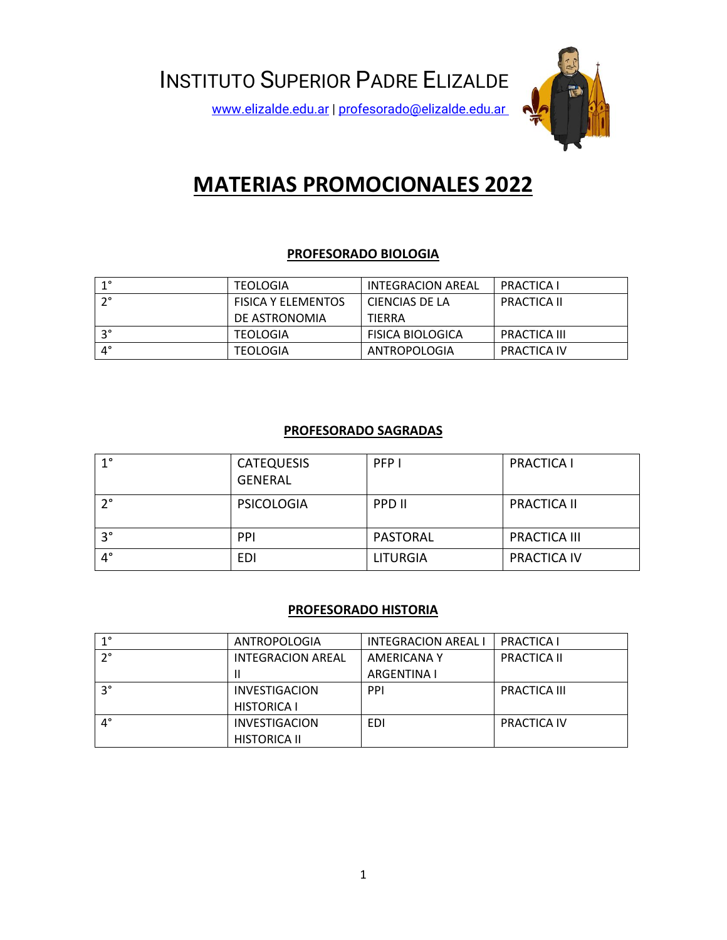

# **MATERIAS PROMOCIONALES 2022**

# **PROFESORADO BIOLOGIA**

| $1^{\circ}$ | <b>TEOLOGIA</b>           | INTEGRACION AREAL       | <b>PRACTICA I</b>  |
|-------------|---------------------------|-------------------------|--------------------|
| $\cdot$ 2°  | <b>FISICA Y ELEMENTOS</b> | CIENCIAS DE LA          | <b>PRACTICA II</b> |
|             | DE ASTRONOMIA             | <b>TIERRA</b>           |                    |
| $3^\circ$   | <b>TEOLOGIA</b>           | <b>FISICA BIOLOGICA</b> | PRACTICA III       |
| $4^{\circ}$ | <b>TEOLOGIA</b>           | ANTROPOLOGIA            | PRACTICA IV        |

# **PROFESORADO SAGRADAS**

| $1^{\circ}$ | <b>CATEQUESIS</b><br><b>GENERAL</b> | PFP I           | <b>PRACTICA I</b>   |
|-------------|-------------------------------------|-----------------|---------------------|
| $2^{\circ}$ | <b>PSICOLOGIA</b>                   | PPD II          | <b>PRACTICA II</b>  |
| $3^{\circ}$ | PPI                                 | PASTORAL        | <b>PRACTICA III</b> |
| $4^\circ$   | EDI                                 | <b>LITURGIA</b> | <b>PRACTICA IV</b>  |

# **PROFESORADO HISTORIA**

| 10          | ANTROPOLOGIA         | <b>INTEGRACION AREAL I</b> | <b>PRACTICA I</b>  |
|-------------|----------------------|----------------------------|--------------------|
| $2^{\circ}$ | INTEGRACION AREAL    | AMERICANA Y                | <b>PRACTICA II</b> |
|             |                      | ARGENTINA I                |                    |
| oc          | <b>INVESTIGACION</b> | <b>PPI</b>                 | PRACTICA III       |
|             | <b>HISTORICA I</b>   |                            |                    |
| $4^{\circ}$ | <b>INVESTIGACION</b> | EDI                        | <b>PRACTICA IV</b> |
|             | <b>HISTORICA II</b>  |                            |                    |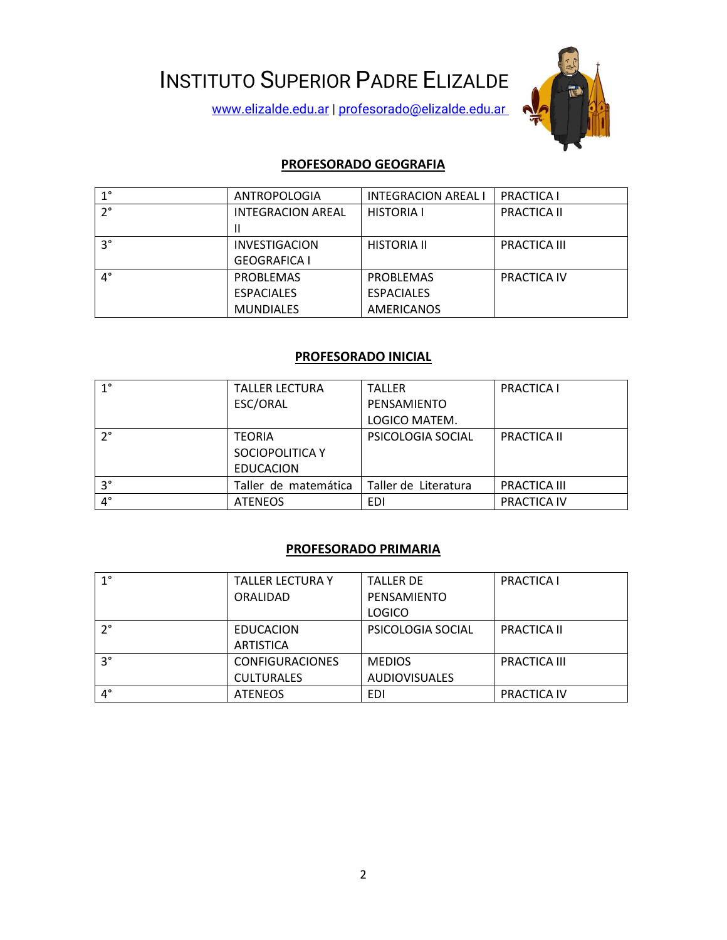INSTITUTO SUPERIOR PADRE ELIZALDE

[www.elizalde.edu.ar](http://www.elizalde.edu.ar/) | [profesorado@elizalde.edu.ar](mailto:profesorado@elizalde.edu.ar)



## **PROFESORADO GEOGRAFIA**

| $1^{\circ}$ | ANTROPOLOGIA             | <b>INTEGRACION AREAL I</b> | <b>PRACTICA I</b>   |
|-------------|--------------------------|----------------------------|---------------------|
| $2^{\circ}$ | <b>INTEGRACION AREAL</b> | <b>HISTORIA I</b>          | <b>PRACTICA II</b>  |
|             |                          |                            |                     |
| $3^{\circ}$ | <b>INVESTIGACION</b>     | <b>HISTORIA II</b>         | <b>PRACTICA III</b> |
|             | <b>GEOGRAFICA I</b>      |                            |                     |
| $4^{\circ}$ | <b>PROBLEMAS</b>         | <b>PROBLEMAS</b>           | <b>PRACTICA IV</b>  |
|             | <b>ESPACIALES</b>        | <b>ESPACIALES</b>          |                     |
|             | <b>MUNDIALES</b>         | <b>AMERICANOS</b>          |                     |

#### **PROFESORADO INICIAL**

| $1^{\circ}$ | <b>TALLER LECTURA</b> | <b>TALLER</b>        | <b>PRACTICA I</b>   |
|-------------|-----------------------|----------------------|---------------------|
|             | ESC/ORAL              | PENSAMIENTO          |                     |
|             |                       | LOGICO MATEM.        |                     |
| $2^{\circ}$ | <b>TEORIA</b>         | PSICOLOGIA SOCIAL    | <b>PRACTICA II</b>  |
|             | SOCIOPOLITICA Y       |                      |                     |
|             | <b>EDUCACION</b>      |                      |                     |
| $3^{\circ}$ | Taller de matemática  | Taller de Literatura | <b>PRACTICA III</b> |
| $4^\circ$   | <b>ATENEOS</b>        | EDI                  | PRACTICA IV         |

# **PROFESORADO PRIMARIA**

| $1^{\circ}$ | <b>TALLER LECTURA Y</b> | <b>TALLER DE</b>     | <b>PRACTICA I</b>   |
|-------------|-------------------------|----------------------|---------------------|
|             | ORALIDAD                | PENSAMIENTO          |                     |
|             |                         | LOGICO               |                     |
| $2^{\circ}$ | EDUCACION               | PSICOLOGIA SOCIAL    | <b>PRACTICA II</b>  |
|             | <b>ARTISTICA</b>        |                      |                     |
| $3^{\circ}$ | <b>CONFIGURACIONES</b>  | <b>MEDIOS</b>        | <b>PRACTICA III</b> |
|             | <b>CULTURALES</b>       | <b>AUDIOVISUALES</b> |                     |
| $4^{\circ}$ | <b>ATENEOS</b>          | EDI                  | <b>PRACTICA IV</b>  |